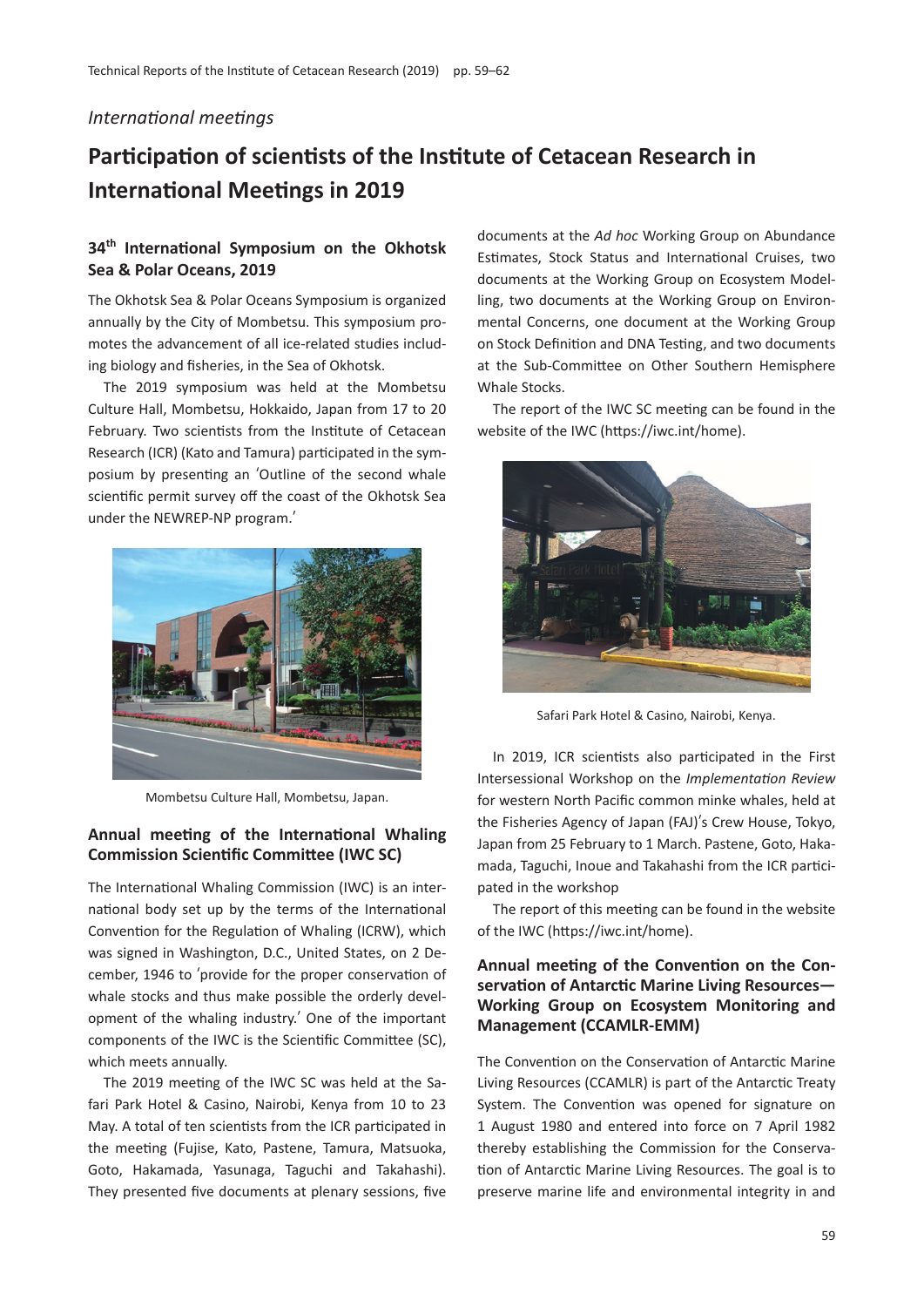#### *International meetings*

# **Participation of scientists of the Institute of Cetacean Research in International Meetings in 2019**

# **34th International Symposium on the Okhotsk Sea & Polar Oceans, 2019**

The Okhotsk Sea & Polar Oceans Symposium is organized annually by the City of Mombetsu. This symposium promotes the advancement of all ice-related studies including biology and fisheries, in the Sea of Okhotsk.

The 2019 symposium was held at the Mombetsu Culture Hall, Mombetsu, Hokkaido, Japan from 17 to 20 February. Two scientists from the Institute of Cetacean Research (ICR) (Kato and Tamura) participated in the symposium by presenting an ʻOutline of the second whale scientific permit survey off the coast of the Okhotsk Sea under the NEWREP-NP program.'



Mombetsu Culture Hall, Mombetsu, Japan.

#### **Annual meeting of the International Whaling Commission Scientific Committee (IWC SC)**

The International Whaling Commission (IWC) is an international body set up by the terms of the International Convention for the Regulation of Whaling (ICRW), which was signed in Washington, D.C., United States, on 2 December, 1946 to ʻprovide for the proper conservation of whale stocks and thus make possible the orderly development of the whaling industry.' One of the important components of the IWC is the Scientific Committee (SC), which meets annually.

The 2019 meeting of the IWC SC was held at the Safari Park Hotel & Casino, Nairobi, Kenya from 10 to 23 May. A total of ten scientists from the ICR participated in the meeting (Fujise, Kato, Pastene, Tamura, Matsuoka, Goto, Hakamada, Yasunaga, Taguchi and Takahashi). They presented five documents at plenary sessions, five

documents at the *Ad hoc* Working Group on Abundance Estimates, Stock Status and International Cruises, two documents at the Working Group on Ecosystem Modelling, two documents at the Working Group on Environmental Concerns, one document at the Working Group on Stock Definition and DNA Testing, and two documents at the Sub-Committee on Other Southern Hemisphere Whale Stocks.

The report of the IWC SC meeting can be found in the website of the IWC (https://iwc.int/home).



Safari Park Hotel & Casino, Nairobi, Kenya.

In 2019, ICR scientists also participated in the First Intersessional Workshop on the *Implementation Review* for western North Pacific common minke whales, held at the Fisheries Agency of Japan (FAJ)'s Crew House, Tokyo, Japan from 25 February to 1 March. Pastene, Goto, Hakamada, Taguchi, Inoue and Takahashi from the ICR participated in the workshop

The report of this meeting can be found in the website of the IWC (https://iwc.int/home).

## **Annual meeting of the Convention on the Conservation of Antarctic Marine Living Resources— Working Group on Ecosystem Monitoring and Management (CCAMLR-EMM)**

The Convention on the Conservation of Antarctic Marine Living Resources (CCAMLR) is part of the Antarctic Treaty System. The Convention was opened for signature on 1 August 1980 and entered into force on 7 April 1982 thereby establishing the Commission for the Conservation of Antarctic Marine Living Resources. The goal is to preserve marine life and environmental integrity in and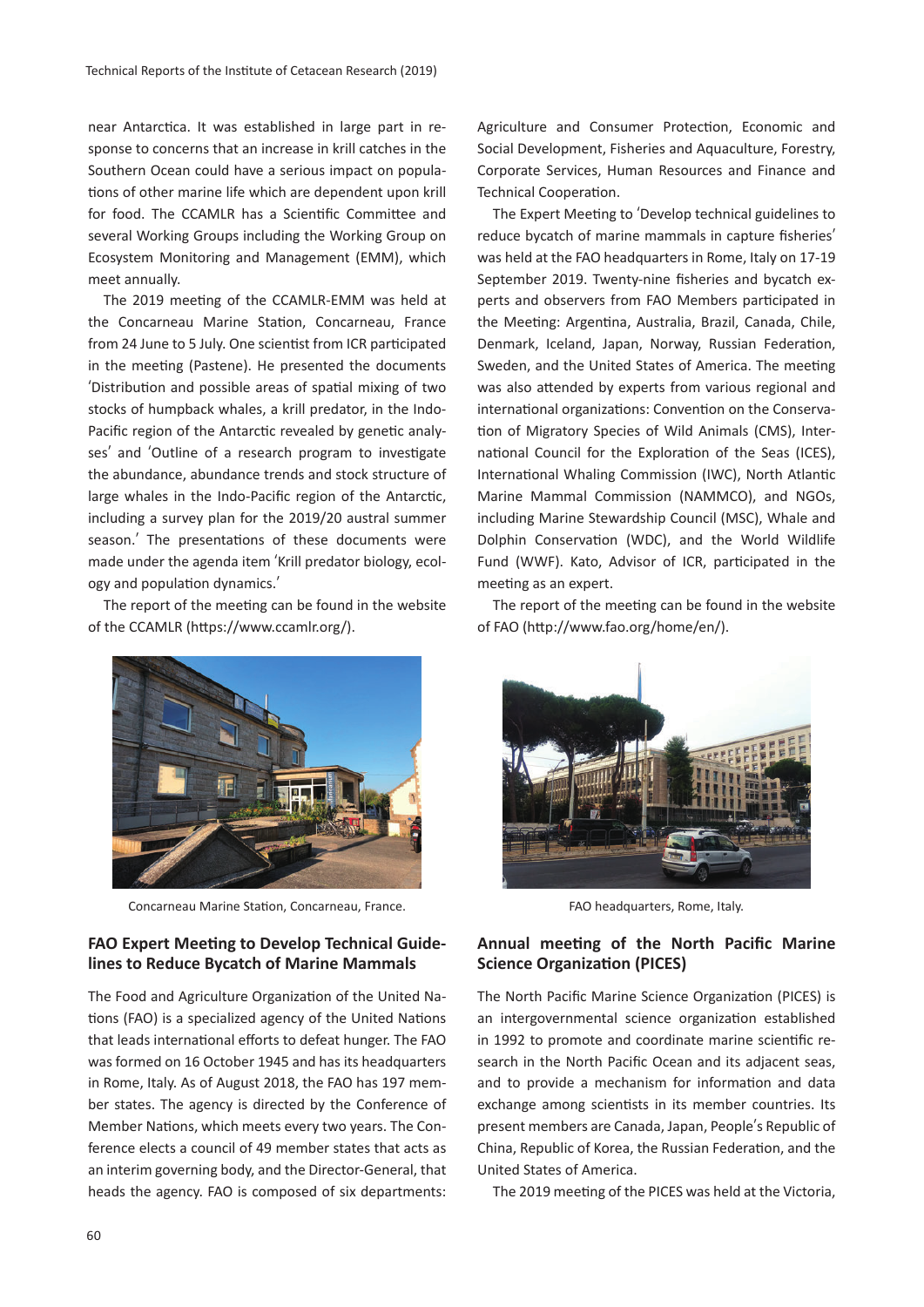near Antarctica. It was established in large part in response to concerns that an increase in krill catches in the Southern Ocean could have a serious impact on populations of other marine life which are dependent upon krill for food. The CCAMLR has a Scientific Committee and several Working Groups including the Working Group on Ecosystem Monitoring and Management (EMM), which meet annually.

The 2019 meeting of the CCAMLR-EMM was held at the Concarneau Marine Station, Concarneau, France from 24 June to 5 July. One scientist from ICR participated in the meeting (Pastene). He presented the documents ʻDistribution and possible areas of spatial mixing of two stocks of humpback whales, a krill predator, in the Indo-Pacific region of the Antarctic revealed by genetic analyses' and ʻOutline of a research program to investigate the abundance, abundance trends and stock structure of large whales in the Indo-Pacific region of the Antarctic, including a survey plan for the 2019/20 austral summer season.' The presentations of these documents were made under the agenda item ʻKrill predator biology, ecology and population dynamics.'

The report of the meeting can be found in the website of the CCAMLR (https://www.ccamlr.org/).



Concarneau Marine Station, Concarneau, France.

#### **FAO Expert Meeting to Develop Technical Guidelines to Reduce Bycatch of Marine Mammals**

The Food and Agriculture Organization of the United Nations (FAO) is a specialized agency of the United Nations that leads international efforts to defeat hunger. The FAO was formed on 16 October 1945 and has its headquarters in Rome, Italy. As of August 2018, the FAO has 197 member states. The agency is directed by the Conference of Member Nations, which meets every two years. The Conference elects a council of 49 member states that acts as an interim governing body, and the Director-General, that heads the agency. FAO is composed of six departments: Agriculture and Consumer Protection, Economic and Social Development, Fisheries and Aquaculture, Forestry, Corporate Services, Human Resources and Finance and Technical Cooperation.

The Expert Meeting to ʻDevelop technical guidelines to reduce bycatch of marine mammals in capture fisheries' was held at the FAO headquarters in Rome, Italy on 17-19 September 2019. Twenty-nine fisheries and bycatch experts and observers from FAO Members participated in the Meeting: Argentina, Australia, Brazil, Canada, Chile, Denmark, Iceland, Japan, Norway, Russian Federation, Sweden, and the United States of America. The meeting was also attended by experts from various regional and international organizations: Convention on the Conservation of Migratory Species of Wild Animals (CMS), International Council for the Exploration of the Seas (ICES), International Whaling Commission (IWC), North Atlantic Marine Mammal Commission (NAMMCO), and NGOs, including Marine Stewardship Council (MSC), Whale and Dolphin Conservation (WDC), and the World Wildlife Fund (WWF). Kato, Advisor of ICR, participated in the meeting as an expert.

The report of the meeting can be found in the website of FAO (http://www.fao.org/home/en/).



FAO headquarters, Rome, Italy.

#### **Annual meeting of the North Pacific Marine Science Organization (PICES)**

The North Pacific Marine Science Organization (PICES) is an intergovernmental science organization established in 1992 to promote and coordinate marine scientific research in the North Pacific Ocean and its adjacent seas, and to provide a mechanism for information and data exchange among scientists in its member countries. Its present members are Canada, Japan, People's Republic of China, Republic of Korea, the Russian Federation, and the United States of America.

The 2019 meeting of the PICES was held at the Victoria,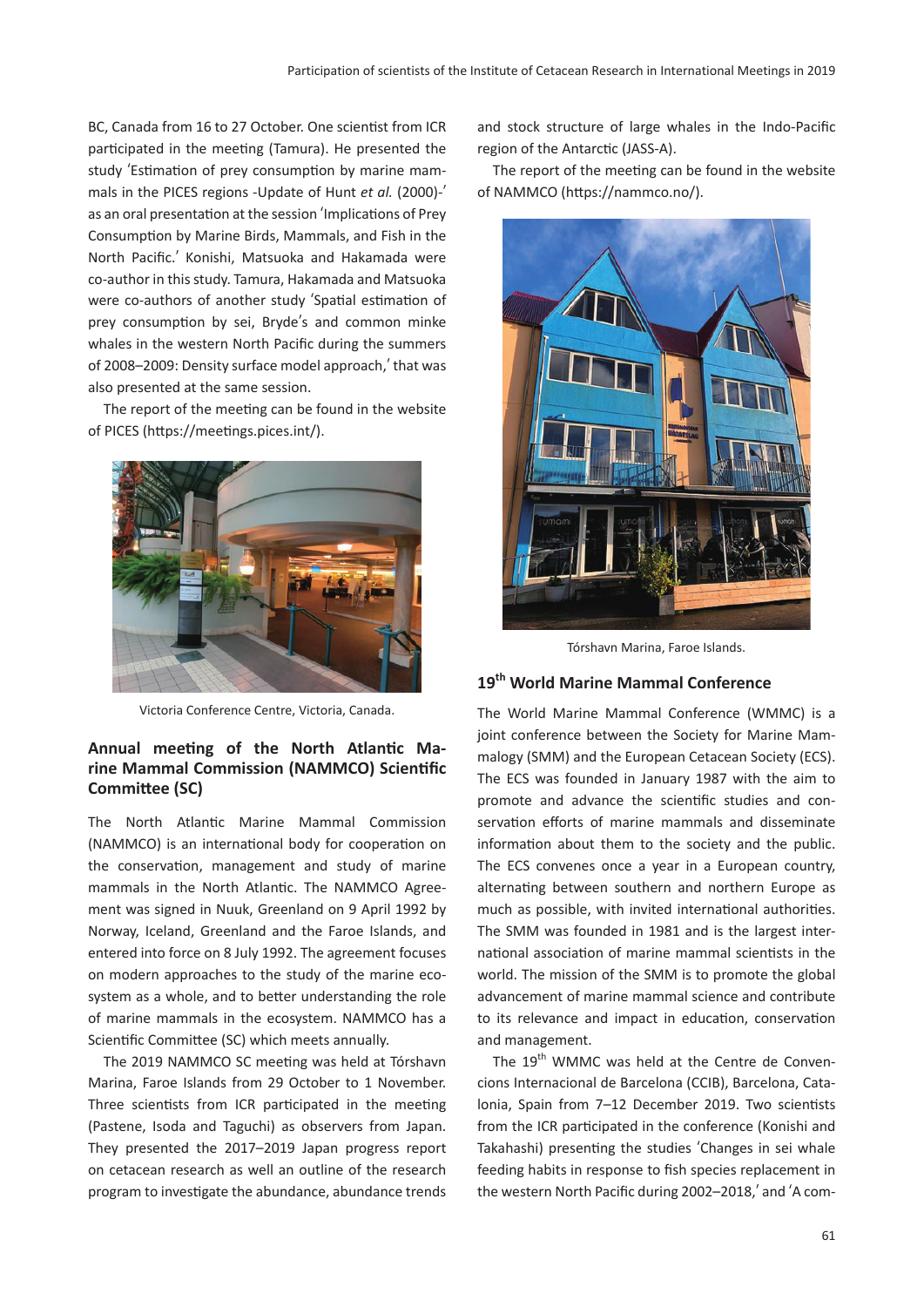BC, Canada from 16 to 27 October. One scientist from ICR participated in the meeting (Tamura). He presented the study ʻEstimation of prey consumption by marine mammals in the PICES regions -Update of Hunt *et al.* (2000)-' as an oral presentation at the session ʻImplications of Prey Consumption by Marine Birds, Mammals, and Fish in the North Pacific.' Konishi, Matsuoka and Hakamada were co-author in this study. Tamura, Hakamada and Matsuoka were co-authors of another study ʻSpatial estimation of prey consumption by sei, Bryde's and common minke whales in the western North Pacific during the summers of 2008–2009: Density surface model approach,' that was also presented at the same session.

The report of the meeting can be found in the website of PICES (https://meetings.pices.int/).



Victoria Conference Centre, Victoria, Canada.

#### **Annual meeting of the North Atlantic Marine Mammal Commission (NAMMCO) Scientific Committee (SC)**

The North Atlantic Marine Mammal Commission (NAMMCO) is an international body for cooperation on the conservation, management and study of marine mammals in the North Atlantic. The NAMMCO Agreement was signed in Nuuk, Greenland on 9 April 1992 by Norway, Iceland, Greenland and the Faroe Islands, and entered into force on 8 July 1992. The agreement focuses on modern approaches to the study of the marine ecosystem as a whole, and to better understanding the role of marine mammals in the ecosystem. NAMMCO has a Scientific Committee (SC) which meets annually.

The 2019 NAMMCO SC meeting was held at Tórshavn Marina, Faroe Islands from 29 October to 1 November. Three scientists from ICR participated in the meeting (Pastene, Isoda and Taguchi) as observers from Japan. They presented the 2017–2019 Japan progress report on cetacean research as well an outline of the research program to investigate the abundance, abundance trends and stock structure of large whales in the Indo-Pacific region of the Antarctic (JASS-A).

The report of the meeting can be found in the website of NAMMCO (https://nammco.no/).



Tórshavn Marina, Faroe Islands.

#### **19th World Marine Mammal Conference**

The World Marine Mammal Conference (WMMC) is a joint conference between the Society for Marine Mammalogy (SMM) and the European Cetacean Society (ECS). The ECS was founded in January 1987 with the aim to promote and advance the scientific studies and conservation efforts of marine mammals and disseminate information about them to the society and the public. The ECS convenes once a year in a European country, alternating between southern and northern Europe as much as possible, with invited international authorities. The SMM was founded in 1981 and is the largest international association of marine mammal scientists in the world. The mission of the SMM is to promote the global advancement of marine mammal science and contribute to its relevance and impact in education, conservation and management.

The 19<sup>th</sup> WMMC was held at the Centre de Convencions Internacional de Barcelona (CCIB), Barcelona, Catalonia, Spain from 7–12 December 2019. Two scientists from the ICR participated in the conference (Konishi and Takahashi) presenting the studies ʻChanges in sei whale feeding habits in response to fish species replacement in the western North Pacific during 2002–2018,' and ʻA com-